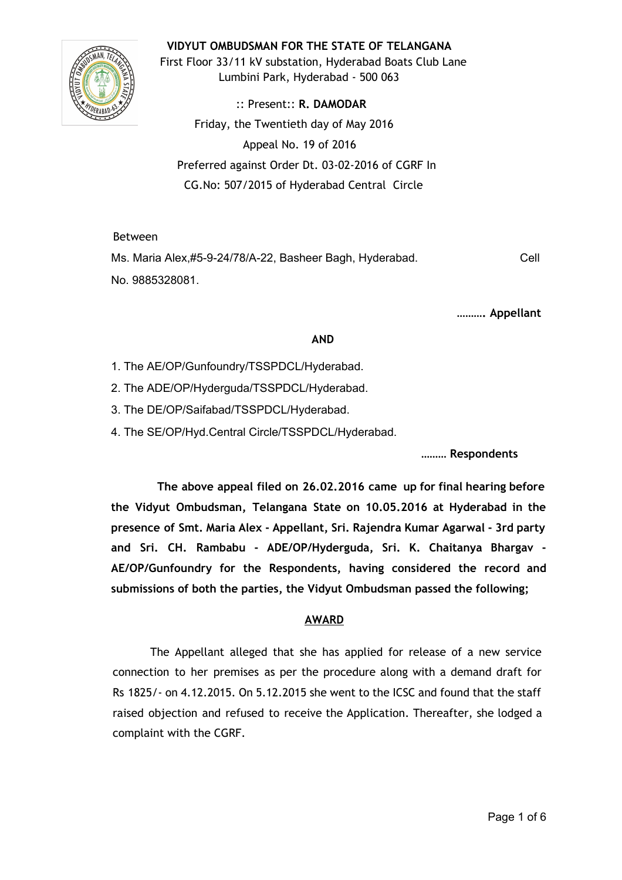## **VIDYUT OMBUDSMAN FOR THE STATE OF TELANGANA**



First Floor 33/11 kV substation, Hyderabad Boats Club Lane Lumbini Park, Hyderabad ‐ 500 063

:: Present:: **R. DAMODAR** Friday, the Twentieth day of May 2016 Appeal No. 19 of 2016 Preferred against Order Dt. 03‐02‐2016 of CGRF In CG.No: 507/2015 of Hyderabad Central Circle

Between

Ms. Maria Alex,#5-9-24/78/A-22, Basheer Bagh, Hyderabad. Cell No. 9885328081.

**………. Appellant**

### **AND**

- 1. The AE/OP/Gunfoundry/TSSPDCL/Hyderabad.
- 2. The ADE/OP/Hyderguda/TSSPDCL/Hyderabad.
- 3. The DE/OP/Saifabad/TSSPDCL/Hyderabad.
- 4. The SE/OP/Hyd.Central Circle/TSSPDCL/Hyderabad.

**……… Respondents**

**The above appeal filed on 26.02.2016 came up for final hearing before the Vidyut Ombudsman, Telangana State on 10.05.2016 at Hyderabad in the presence of Smt. Maria Alex ‐ Appellant, Sri. Rajendra Kumar Agarwal ‐ 3rd party and Sri. CH. Rambabu ‐ ADE/OP/Hyderguda, Sri. K. Chaitanya Bhargav ‐ AE/OP/Gunfoundry for the Respondents, having considered the record and submissions of both the parties, the Vidyut Ombudsman passed the following;**

# **AWARD**

The Appellant alleged that she has applied for release of a new service connection to her premises as per the procedure along with a demand draft for Rs 1825/‐ on 4.12.2015. On 5.12.2015 she went to the ICSC and found that the staff raised objection and refused to receive the Application. Thereafter, she lodged a complaint with the CGRF.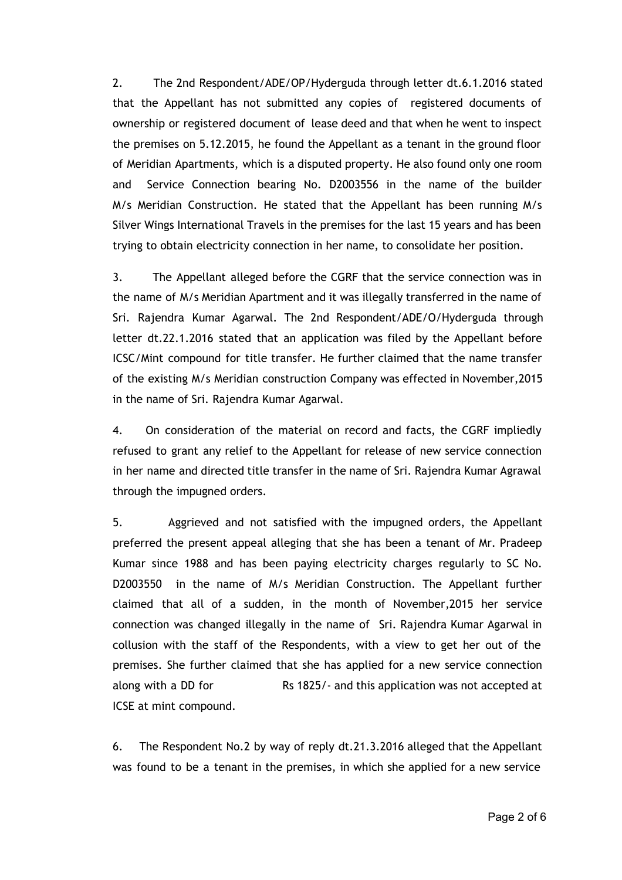2. The 2nd Respondent/ADE/OP/Hyderguda through letter dt.6.1.2016 stated that the Appellant has not submitted any copies of registered documents of ownership or registered document of lease deed and that when he went to inspect the premises on 5.12.2015, he found the Appellant as a tenant in the ground floor of Meridian Apartments, which is a disputed property. He also found only one room and Service Connection bearing No. D2003556 in the name of the builder M/s Meridian Construction. He stated that the Appellant has been running M/s Silver Wings International Travels in the premises for the last 15 years and has been trying to obtain electricity connection in her name, to consolidate her position.

3. The Appellant alleged before the CGRF that the service connection was in the name of M/s Meridian Apartment and it was illegally transferred in the name of Sri. Rajendra Kumar Agarwal. The 2nd Respondent/ADE/O/Hyderguda through letter dt.22.1.2016 stated that an application was filed by the Appellant before ICSC/Mint compound for title transfer. He further claimed that the name transfer of the existing M/s Meridian construction Company was effected in November,2015 in the name of Sri. Rajendra Kumar Agarwal.

4. On consideration of the material on record and facts, the CGRF impliedly refused to grant any relief to the Appellant for release of new service connection in her name and directed title transfer in the name of Sri. Rajendra Kumar Agrawal through the impugned orders.

5. Aggrieved and not satisfied with the impugned orders, the Appellant preferred the present appeal alleging that she has been a tenant of Mr. Pradeep Kumar since 1988 and has been paying electricity charges regularly to SC No. D2003550 in the name of M/s Meridian Construction. The Appellant further claimed that all of a sudden, in the month of November,2015 her service connection was changed illegally in the name of Sri. Rajendra Kumar Agarwal in collusion with the staff of the Respondents, with a view to get her out of the premises. She further claimed that she has applied for a new service connection along with a DD for Rs 1825/- and this application was not accepted at ICSE at mint compound.

6. The Respondent No.2 by way of reply dt.21.3.2016 alleged that the Appellant was found to be a tenant in the premises, in which she applied for a new service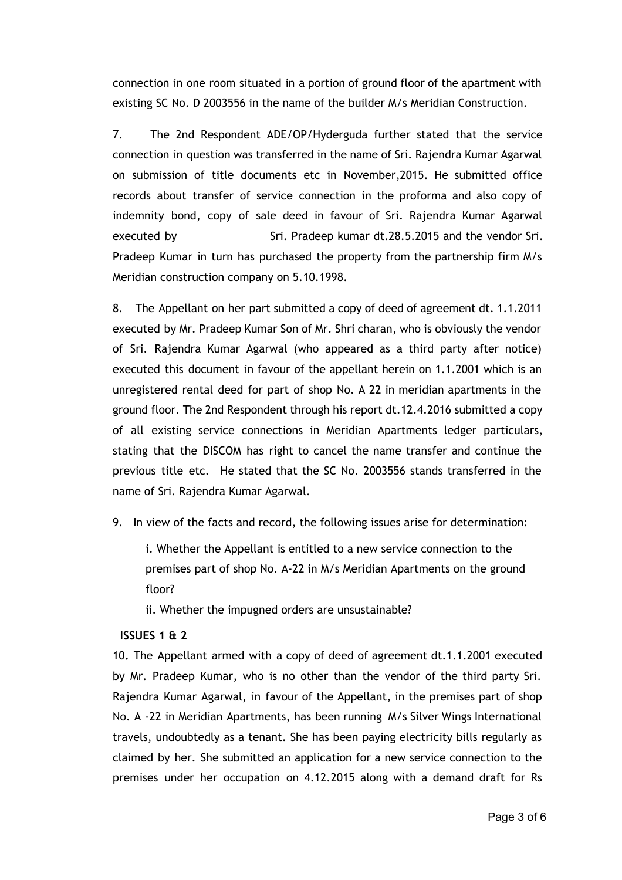connection in one room situated in a portion of ground floor of the apartment with existing SC No. D 2003556 in the name of the builder M/s Meridian Construction.

7. The 2nd Respondent ADE/OP/Hyderguda further stated that the service connection in question was transferred in the name of Sri. Rajendra Kumar Agarwal on submission of title documents etc in November,2015. He submitted office records about transfer of service connection in the proforma and also copy of indemnity bond, copy of sale deed in favour of Sri. Rajendra Kumar Agarwal executed by Sri. Pradeep kumar dt.28.5.2015 and the vendor Sri. Pradeep Kumar in turn has purchased the property from the partnership firm M/s Meridian construction company on 5.10.1998.

8. The Appellant on her part submitted a copy of deed of agreement dt. 1.1.2011 executed by Mr. Pradeep Kumar Son of Mr. Shri charan, who is obviously the vendor of Sri. Rajendra Kumar Agarwal (who appeared as a third party after notice) executed this document in favour of the appellant herein on 1.1.2001 which is an unregistered rental deed for part of shop No. A 22 in meridian apartments in the ground floor. The 2nd Respondent through his report dt.12.4.2016 submitted a copy of all existing service connections in Meridian Apartments ledger particulars, stating that the DISCOM has right to cancel the name transfer and continue the previous title etc. He stated that the SC No. 2003556 stands transferred in the name of Sri. Rajendra Kumar Agarwal.

9. In view of the facts and record, the following issues arise for determination:

i. Whether the Appellant is entitled to a new service connection to the premises part of shop No. A‐22 in M/s Meridian Apartments on the ground floor?

ii. Whether the impugned orders are unsustainable?

#### **ISSUES 1 & 2**

10**.** The Appellant armed with a copy of deed of agreement dt.1.1.2001 executed by Mr. Pradeep Kumar, who is no other than the vendor of the third party Sri. Rajendra Kumar Agarwal, in favour of the Appellant, in the premises part of shop No. A ‐22 in Meridian Apartments, has been running M/s Silver Wings International travels, undoubtedly as a tenant. She has been paying electricity bills regularly as claimed by her. She submitted an application for a new service connection to the premises under her occupation on 4.12.2015 along with a demand draft for Rs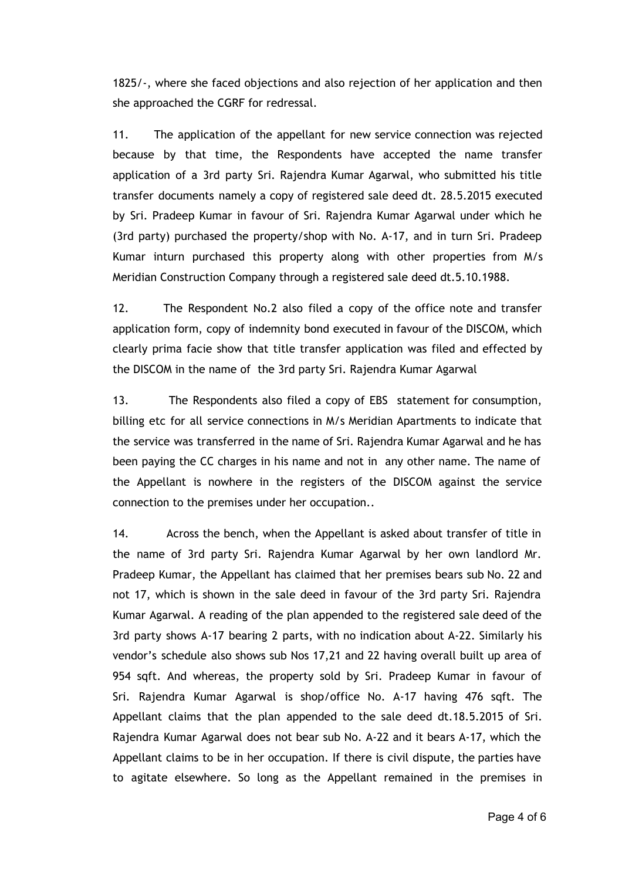1825/‐, where she faced objections and also rejection of her application and then she approached the CGRF for redressal.

11. The application of the appellant for new service connection was rejected because by that time, the Respondents have accepted the name transfer application of a 3rd party Sri. Rajendra Kumar Agarwal, who submitted his title transfer documents namely a copy of registered sale deed dt. 28.5.2015 executed by Sri. Pradeep Kumar in favour of Sri. Rajendra Kumar Agarwal under which he (3rd party) purchased the property/shop with No. A‐17, and in turn Sri. Pradeep Kumar inturn purchased this property along with other properties from M/s Meridian Construction Company through a registered sale deed dt.5.10.1988.

12. The Respondent No.2 also filed a copy of the office note and transfer application form, copy of indemnity bond executed in favour of the DISCOM, which clearly prima facie show that title transfer application was filed and effected by the DISCOM in the name of the 3rd party Sri. Rajendra Kumar Agarwal

13. The Respondents also filed a copy of EBS statement for consumption, billing etc for all service connections in M/s Meridian Apartments to indicate that the service was transferred in the name of Sri. Rajendra Kumar Agarwal and he has been paying the CC charges in his name and not in any other name. The name of the Appellant is nowhere in the registers of the DISCOM against the service connection to the premises under her occupation..

14. Across the bench, when the Appellant is asked about transfer of title in the name of 3rd party Sri. Rajendra Kumar Agarwal by her own landlord Mr. Pradeep Kumar, the Appellant has claimed that her premises bears sub No. 22 and not 17, which is shown in the sale deed in favour of the 3rd party Sri. Rajendra Kumar Agarwal. A reading of the plan appended to the registered sale deed of the 3rd party shows A‐17 bearing 2 parts, with no indication about A‐22. Similarly his vendor's schedule also shows sub Nos 17,21 and 22 having overall built up area of 954 sqft. And whereas, the property sold by Sri. Pradeep Kumar in favour of Sri. Rajendra Kumar Agarwal is shop/office No. A‐17 having 476 sqft. The Appellant claims that the plan appended to the sale deed dt.18.5.2015 of Sri. Rajendra Kumar Agarwal does not bear sub No. A‐22 and it bears A‐17, which the Appellant claims to be in her occupation. If there is civil dispute, the parties have to agitate elsewhere. So long as the Appellant remained in the premises in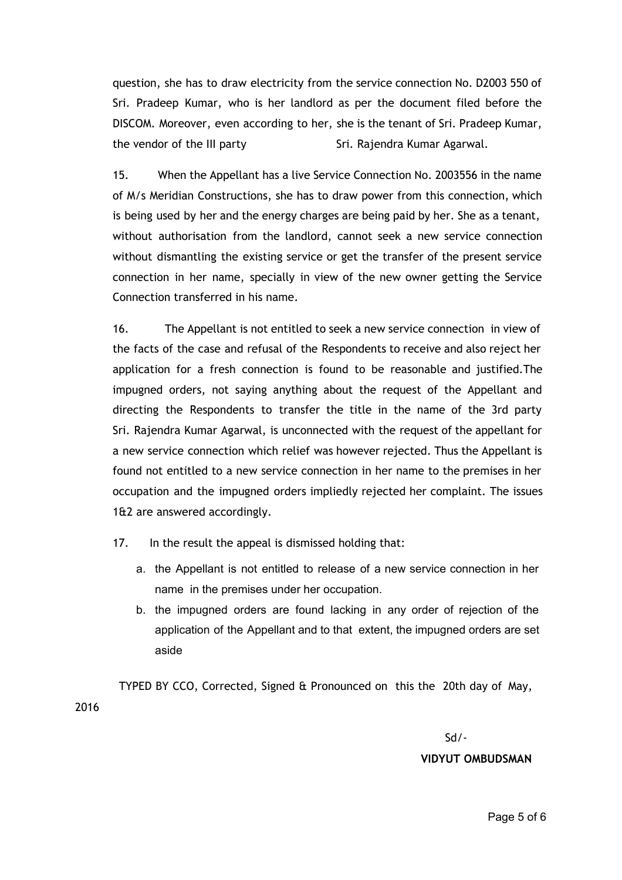question, she has to draw electricity from the service connection No. D2003 550 of Sri. Pradeep Kumar, who is her landlord as per the document filed before the DISCOM. Moreover, even according to her, she is the tenant of Sri. Pradeep Kumar, the vendor of the III party Sri. Rajendra Kumar Agarwal.

15. When the Appellant has a live Service Connection No. 2003556 in the name of M/s Meridian Constructions, she has to draw power from this connection, which is being used by her and the energy charges are being paid by her. She as a tenant, without authorisation from the landlord, cannot seek a new service connection without dismantling the existing service or get the transfer of the present service connection in her name, specially in view of the new owner getting the Service Connection transferred in his name.

16. The Appellant is not entitled to seek a new service connection in view of the facts of the case and refusal of the Respondents to receive and also reject her application for a fresh connection is found to be reasonable and justified.The impugned orders, not saying anything about the request of the Appellant and directing the Respondents to transfer the title in the name of the 3rd party Sri. Rajendra Kumar Agarwal, is unconnected with the request of the appellant for a new service connection which relief was however rejected. Thus the Appellant is found not entitled to a new service connection in her name to the premises in her occupation and the impugned orders impliedly rejected her complaint. The issues 1&2 are answered accordingly.

17. In the result the appeal is dismissed holding that:

- a. the Appellant is not entitled to release of a new service connection in her name in the premises under her occupation.
- b. the impugned orders are found lacking in any order of rejection of the application of the Appellant and to that extent, the impugned orders are set aside

TYPED BY CCO, Corrected, Signed & Pronounced on this the 20th day of May, 2016

Sd/‐

### **VIDYUT OMBUDSMAN**